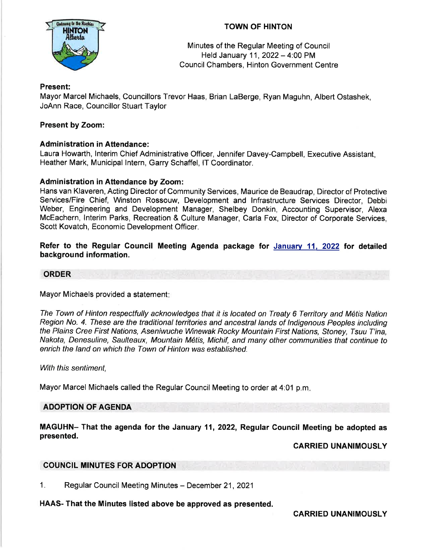

# TOWN OF HINTON

Minutes of the Regular Meeting of Council Held January 11,2022- 4:00 PM Council Chambers, Hinton Government Centre

# Present:

Mayor Marcel Michaels, Councillors Trevor Haas, Brian LaBerge, Ryan Maguhn, Albert Ostashek, JoAnn Race, Councillor Stuart Taylor

# Present by Zoom:

## Administration in Attendance:

Laura Howarth, lnterim Chief Administrative Officer, Jennifer Davey-Campbell, Executive Assistant, Heather Mark, Municipal lntern, Garry Schaffel, lT Coordinator.

## Administration in Attendance by Zoom:

Hans van Klaveren, Acting Director of Community Services, Maurice de Beaudrap, Director of Protective Services/Fire Chief, Winston Rossouw, Development and lnfrastructure Services Director, Debbi Weber, Engineering and Development Manager, Shelbey Donkin, Accounting Supervisor, Alexa McEachern, lnterim Parks, Recreation & Culture Manager, Carla Fox, Director of Corporate Services, Scott Kovatch, Economic Development Officer.

Refer to the Regular Gouncil Meeting Agenda package for Januaw 11, 2022 for detailed background information.

#### ORDER

Mayor Michaels provided a statement:

The Town of Hinton respectfully acknowledges that it is located on Treaty 6 Territory and M6tis Nation Region No. 4. These are the traditional territories and ancestral lands of Indigenous Peoples including the Plains Cree First Nations, Aseniwuche Winewak Rocky Mountain First Nations, Sfoney, Tsuu T'ina, Nakota, Denesuline, Saulteaux, Mountain M6tis, Michif, and many other communities that continue to enrich the land on which the Town of Hinton was established.

With this sentiment,

Mayor Marcel Michaels called the Regular Council Meeting to order at 4:01 p.m

### ADOPTION OF AGENDA

MAGUHN- That the agenda for the January 11,2022, Regular Gouncil Meeting be adopted as presented.

### CARRIED UNANIMOUSLY

# COUNCIL MINUTES FOR ADOPTION

1. Regular Council Meeting Minutes - December 21, 2021

HAAS- That the Minutes listed above be approved as presented.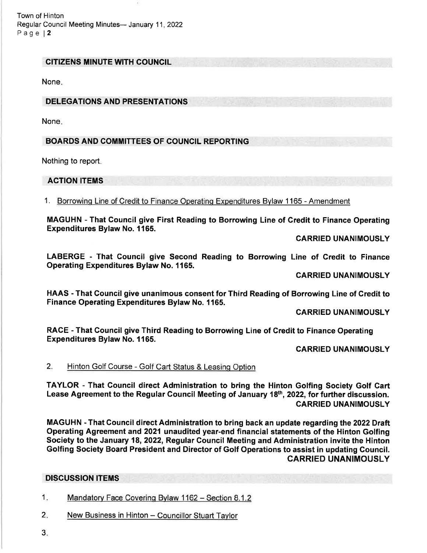Town of Hinton Regular Council Meeting Minutes- January 11, 2022 Page l2

### CITIZENS MINUTE WITH COUNCIL

None

## DELEGATIONS AND PRESENTATIONS

None

# BOARDS AND COMMITTEES OF COUNCIL REPORTING

Nothing to report

### ACTION ITEMS

1. Borrowinq Line of Credit to Finance Operatino Expenditures Bylaw 1165 - Amendment

MAGUHN - That Gouncil give First Reading to Borrowing Line of Gredit to Finance Operating Expenditures Bylaw No. 1165.

CARRIED UNANIMOUSLY

LABERGE - That Gouncil give Second Reading to Borrowing Line of Credit to Finance Operating Expenditures Bylaw No. 1165.

CARRIED UNANIMOUSLY

HAAS - That Council give unanimous consent for Third Reading of Borrowing Line of Gredit to Finance Operating Expenditures Bylaw No. 1165.

CARRIED UNANIMOUSLY

RACE - That Gouncil give Third Reading to Borrowing Line of Credit to Finance Operating Expenditures Bylaw No. 1165.

CARRIED UNANIMOUSLY

### 2. Hinton Golf Course - Golf Cart Status & Leasinq Option

TAYLOR - That Council direct Administration to bring the Hinton Golfing Society Golf Gart Lease Agreement to the Regular Council Meeting of January 18th, 2022, for further discussion. CARRIED UNANIMOUSLY

MAGUHN - That Council direct Administration to bring back an update regarding the 2022 Draft Operating Agreement and 2021 unaudited year-end financial statements of the Hinton Golfing Society to the January 18,2022, Regular Council Meeting and Administration invite the Hinton Golfing Society Board President and Director of Golf Operations to assist in updating Gouncil. CARRIED UNANIMOUSLY

### DISCUSSION ITEMS

1. Mandatory Face Covering Bylaw 1162 - Section 8.1.2

- 2. New Business in Hinton Councillor Stuart Taylor
- 3.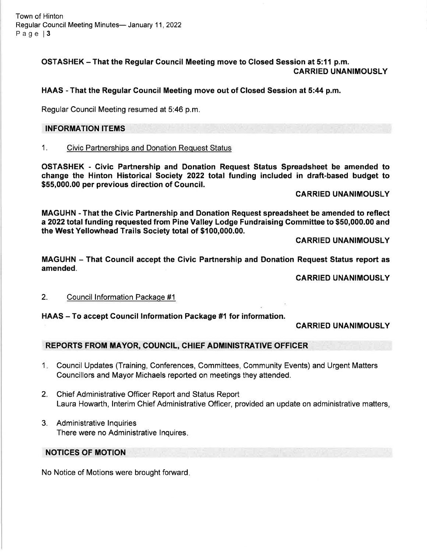Town of Hinton Regular Council Meeting Minutes- January 11, 2022 Page 13

> OSTASHEK - That the Regular Council Meeting move to Glosed Session at 5:11 p.m. CARRIED UNANIMOUSLY

HAAS - That the Regular Gouncil Meeting move out of Closed Session at 5:44 p.m.

Regular Council Meeting resumed at 5:46 p.m.

### INFORMATION ITEMS

# 1. Civic Partnerships and Donation Request Status

OSTASHEK - Civic Partnership and Donation Request Status Spreadsheet be amended to change the Hinton Historical Society 2022 total funding included in draft-based budget to \$55,000.00 per previous direction of Council.

### CARRIED UNANIMOUSLY

MAGUHN - That the Givic Partnership and Donation Request spreadsheet be amended to reflect a 2022 total funding requested from Pine Valley Lodge Fundraising Gommittee to \$50,000.00 and the West Yellowhead Trails Society total of \$100,000.00.

GARRIED UNANIMOUSLY

MAGUHN - That Gouncil accept the Civic Partnership and Donation Request Status report as amended.

CARRIED UNANIMOUSLY

### 2. Council lnformation Packaqe #1

### HAAS - To accept Council Information Package #1 for information.

### CARRIED UNANIMOUSLY

# REPORTS FROM MAYOR, COUNCIL, CHIEF ADMINISTRATIVE OFFICER

- <sup>1</sup> Council Updates (Training, Conferences, Committees, Community Events) and Urgent Matters Councillors and Mayor Michaels reported on meetings they attended.
- 2. Chief Administrative Officer Report and Status Report Laura Howarth, lnterim Chief Administrative Officer, provided an update on administrative matters,
- 3. Administrative lnquiries There were no Administrative lnquires

### NOTICES OF MOTION

No Notice of Motions were brought forward.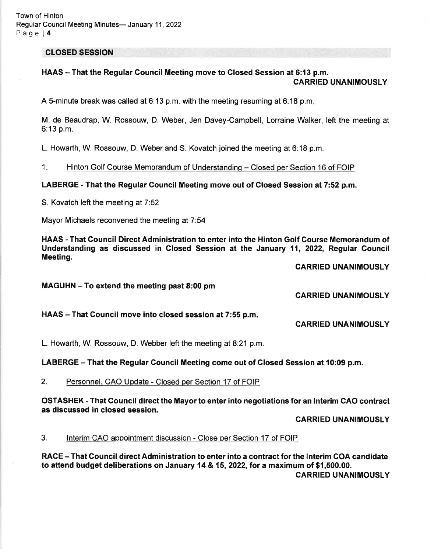Town of Hinton Regular Council Meeting Minutes- January 11, 2022 Page l4

CLOSED SESSION

### HAAS - That the Regular Council Meeting move to Closed Session at 6:13 p.m. CARRIED UNANIMOUSLY

A S-minute break was called at 6:13 p.m. with the meeting resuming at 6:18 p.m

M. de Beaudrap, W. Rossouw, D. Weber, Jen Davey-Campbell, Lorraine Walker, left the meeting at 6:13 p.m.

L. Howarth, W. Rossouw, D. Weber and S. Kovatch joined the meeting at 6:18 p.m.

1. Hinton Golf Course Memorandum of Understandinq - Closed per Section 16 of FOIP

LABERGE - That the Regular Council Meeting move out of Glosed Session at 7:52 p.m.

S. Kovatch left the meeting at 7:52

Mayor Michaels reconvened the meeting at 7:54

HAAS - That Council Direct Administration to enter into the Hinton Golf Gourse Memorandum of Understanding as discussed in Glosed Session at the January 11, 2022, Regular Council Meeting.

CARRIED UNANIMOUSLY

MAGUHN - To extend the meeting past 8:00 pm

CARRIED UNANIMOUSLY

HAAS - That Council move into closed session at 7:55 p.m.

CARRIED UNANIMOUSLY

L. Howarth, W. Rossouw, D. Webber left the meeting at 8:21 p.m.

LABERGE – That the Regular Council Meeting come out of Closed Session at 10:09 p.m.

2. Personnel, CAO Update - Closed per Section 17 of FOIP

OSTASHEK - That Council direct the Mayor to enter into negotiations for an lnterim CAO contract as discussed in closed session.

CARRIED UNANIMOUSLY

3. Interim CAO appointment discussion - Close per Section 17 of FOIP

RACE – That Council direct Administration to enter into a contract for the Interim COA candidate to attend budget deliberations on January 14 & 15,2022, for a maximum of \$1,500.00. CARRIED UNANIMOUSLY